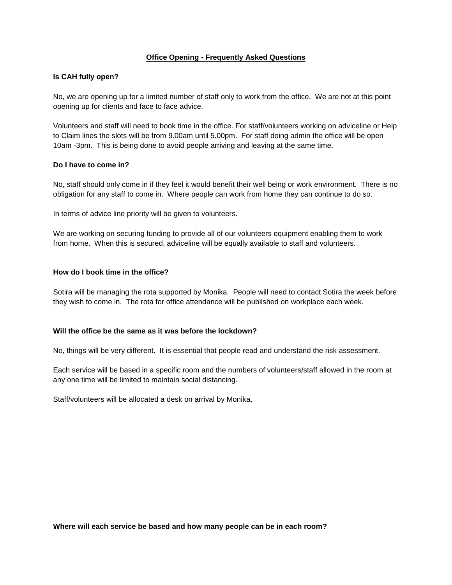# **Office Opening - Frequently Asked Questions**

### **Is CAH fully open?**

No, we are opening up for a limited number of staff only to work from the office. We are not at this point opening up for clients and face to face advice.

Volunteers and staff will need to book time in the office. For staff/volunteers working on adviceline or Help to Claim lines the slots will be from 9.00am until 5.00pm. For staff doing admin the office will be open 10am -3pm. This is being done to avoid people arriving and leaving at the same time.

#### **Do I have to come in?**

No, staff should only come in if they feel it would benefit their well being or work environment. There is no obligation for any staff to come in. Where people can work from home they can continue to do so.

In terms of advice line priority will be given to volunteers.

We are working on securing funding to provide all of our volunteers equipment enabling them to work from home. When this is secured, adviceline will be equally available to staff and volunteers.

# **How do I book time in the office?**

Sotira will be managing the rota supported by Monika. People will need to contact Sotira the week before they wish to come in. The rota for office attendance will be published on workplace each week.

### **Will the office be the same as it was before the lockdown?**

No, things will be very different. It is essential that people read and understand the risk assessment.

Each service will be based in a specific room and the numbers of volunteers/staff allowed in the room at any one time will be limited to maintain social distancing.

Staff/volunteers will be allocated a desk on arrival by Monika.

**Where will each service be based and how many people can be in each room?**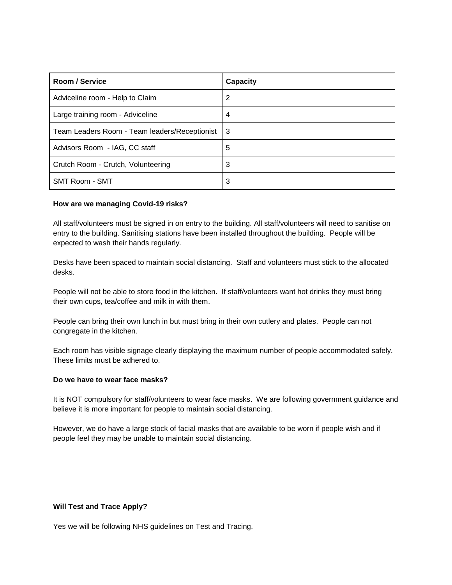| Room / Service                                | Capacity |
|-----------------------------------------------|----------|
| Adviceline room - Help to Claim               | 2        |
| Large training room - Adviceline              | 4        |
| Team Leaders Room - Team leaders/Receptionist | -3       |
| Advisors Room - IAG, CC staff                 | 5        |
| Crutch Room - Crutch, Volunteering            | 3        |
| <b>SMT Room - SMT</b>                         | 3        |

#### **How are we managing Covid-19 risks?**

All staff/volunteers must be signed in on entry to the building. All staff/volunteers will need to sanitise on entry to the building. Sanitising stations have been installed throughout the building. People will be expected to wash their hands regularly.

Desks have been spaced to maintain social distancing. Staff and volunteers must stick to the allocated desks.

People will not be able to store food in the kitchen. If staff/volunteers want hot drinks they must bring their own cups, tea/coffee and milk in with them.

People can bring their own lunch in but must bring in their own cutlery and plates. People can not congregate in the kitchen.

Each room has visible signage clearly displaying the maximum number of people accommodated safely. These limits must be adhered to.

## **Do we have to wear face masks?**

It is NOT compulsory for staff/volunteers to wear face masks. We are following government guidance and believe it is more important for people to maintain social distancing.

However, we do have a large stock of facial masks that are available to be worn if people wish and if people feel they may be unable to maintain social distancing.

#### **Will Test and Trace Apply?**

Yes we will be following NHS guidelines on Test and Tracing.